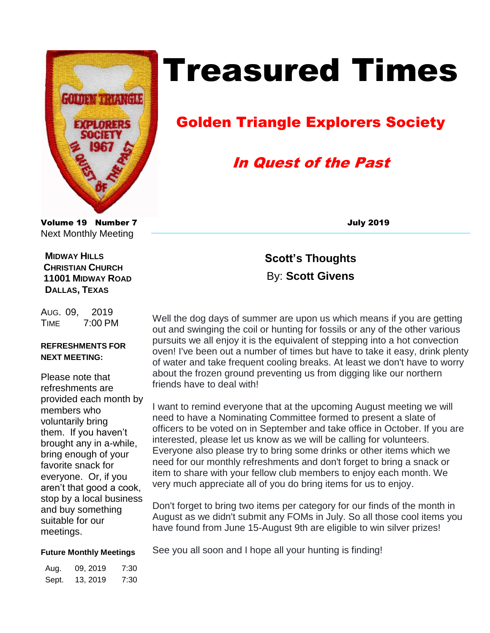

# Treasured Times

# Golden Triangle Explorers Society

# In Quest of the Past

Volume 19 Number 7 July 2019 Next Monthly Meeting

 **MIDWAY HILLS CHRISTIAN CHURCH 11001 MIDWAY ROAD DALLAS, TEXAS**

AUG. 09, 2019 TIME 7:00 PM

## **REFRESHMENTS FOR NEXT MEETING:**

Please note that refreshments are provided each month by members who voluntarily bring them. If you haven't brought any in a-while, bring enough of your favorite snack for everyone. Or, if you aren't that good a cook, stop by a local business and buy something suitable for our meetings.

**Scott's Thoughts**  By: **Scott Givens**

Well the dog days of summer are upon us which means if you are getting out and swinging the coil or hunting for fossils or any of the other various pursuits we all enjoy it is the equivalent of stepping into a hot convection oven! I've been out a number of times but have to take it easy, drink plenty of water and take frequent cooling breaks. At least we don't have to worry about the frozen ground preventing us from digging like our northern friends have to deal with!

I want to remind everyone that at the upcoming August meeting we will need to have a Nominating Committee formed to present a slate of officers to be voted on in September and take office in October. If you are interested, please let us know as we will be calling for volunteers. Everyone also please try to bring some drinks or other items which we need for our monthly refreshments and don't forget to bring a snack or item to share with your fellow club members to enjoy each month. We very much appreciate all of you do bring items for us to enjoy.

Don't forget to bring two items per category for our finds of the month in August as we didn't submit any FOMs in July. So all those cool items you have found from June 15-August 9th are eligible to win silver prizes!

## **Future Monthly Meetings**

| Aug.  | 09, 2019 | 7:30 |
|-------|----------|------|
| Sept. | 13, 2019 | 7:30 |

See you all soon and I hope all your hunting is finding!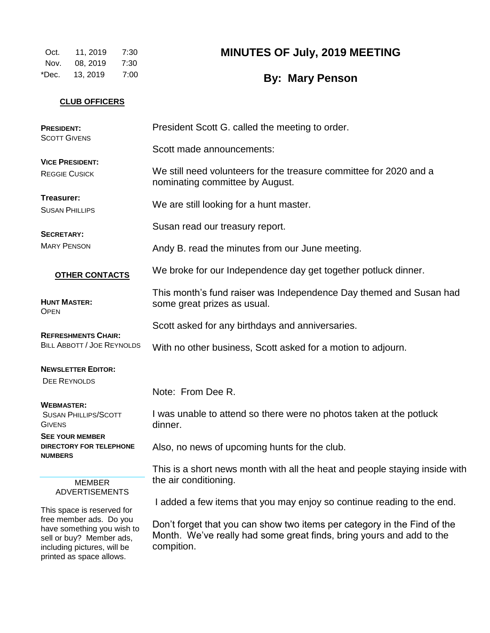Oct. 11, 2019 7:30 Nov. 08, 2019 7:30 \*Dec. 13, 2019 7:00

## **MINUTES OF July, 2019 MEETING**

**By: Mary Penson**

## **CLUB OFFICERS**

| <b>PRESIDENT:</b><br><b>SCOTT GIVENS</b>                                                                                                     | President Scott G. called the meeting to order.                                                                                                                |  |  |  |  |  |
|----------------------------------------------------------------------------------------------------------------------------------------------|----------------------------------------------------------------------------------------------------------------------------------------------------------------|--|--|--|--|--|
|                                                                                                                                              | Scott made announcements:                                                                                                                                      |  |  |  |  |  |
| <b>VICE PRESIDENT:</b><br><b>REGGIE CUSICK</b>                                                                                               | We still need volunteers for the treasure committee for 2020 and a<br>nominating committee by August.                                                          |  |  |  |  |  |
| Treasurer:<br><b>SUSAN PHILLIPS</b>                                                                                                          | We are still looking for a hunt master.                                                                                                                        |  |  |  |  |  |
| <b>SECRETARY:</b>                                                                                                                            | Susan read our treasury report.                                                                                                                                |  |  |  |  |  |
| <b>MARY PENSON</b>                                                                                                                           | Andy B. read the minutes from our June meeting.                                                                                                                |  |  |  |  |  |
| <b>OTHER CONTACTS</b>                                                                                                                        | We broke for our Independence day get together potluck dinner.                                                                                                 |  |  |  |  |  |
| <b>HUNT MASTER:</b><br><b>OPEN</b>                                                                                                           | This month's fund raiser was Independence Day themed and Susan had<br>some great prizes as usual.                                                              |  |  |  |  |  |
| <b>REFRESHMENTS CHAIR:</b><br><b>BILL ABBOTT / JOE REYNOLDS</b>                                                                              | Scott asked for any birthdays and anniversaries.                                                                                                               |  |  |  |  |  |
|                                                                                                                                              | With no other business, Scott asked for a motion to adjourn.                                                                                                   |  |  |  |  |  |
| <b>NEWSLETTER EDITOR:</b>                                                                                                                    |                                                                                                                                                                |  |  |  |  |  |
| <b>DEE REYNOLDS</b>                                                                                                                          | Note: From Dee R.                                                                                                                                              |  |  |  |  |  |
| <b>WEBMASTER:</b><br><b>SUSAN PHILLIPS/SCOTT</b><br><b>GIVENS</b>                                                                            | I was unable to attend so there were no photos taken at the potluck<br>dinner.                                                                                 |  |  |  |  |  |
| <b>SEE YOUR MEMBER</b><br><b>DIRECTORY FOR TELEPHONE</b><br><b>NUMBERS</b>                                                                   | Also, no news of upcoming hunts for the club.                                                                                                                  |  |  |  |  |  |
|                                                                                                                                              | This is a short news month with all the heat and people staying inside with                                                                                    |  |  |  |  |  |
| <b>MEMBER</b><br><b>ADVERTISEMENTS</b>                                                                                                       | the air conditioning.                                                                                                                                          |  |  |  |  |  |
| This space is reserved for                                                                                                                   | I added a few items that you may enjoy so continue reading to the end.                                                                                         |  |  |  |  |  |
| free member ads. Do you<br>have something you wish to<br>sell or buy? Member ads,<br>including pictures, will be<br>printed as space allows. | Don't forget that you can show two items per category in the Find of the<br>Month. We've really had some great finds, bring yours and add to the<br>compition. |  |  |  |  |  |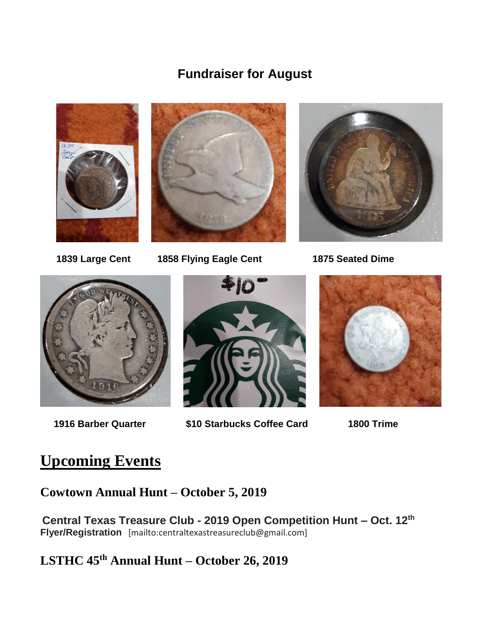## **Fundraiser for August**





 **1839 Large Cent 1858 Flying Eagle Cent 1875 Seated Dime**







 **1916 Barber Quarter \$10 Starbucks Coffee Card 1800 Trime** 



## **Upcoming Events**

**Cowtown Annual Hunt – October 5, 2019**

**Central Texas Treasure Club - 2019 Open Competition Hunt – Oct. 12th Flyer/Registration** [mailto:centraltexastreasureclub@gmail.com]

**LSTHC 45th Annual Hunt – October 26, 2019**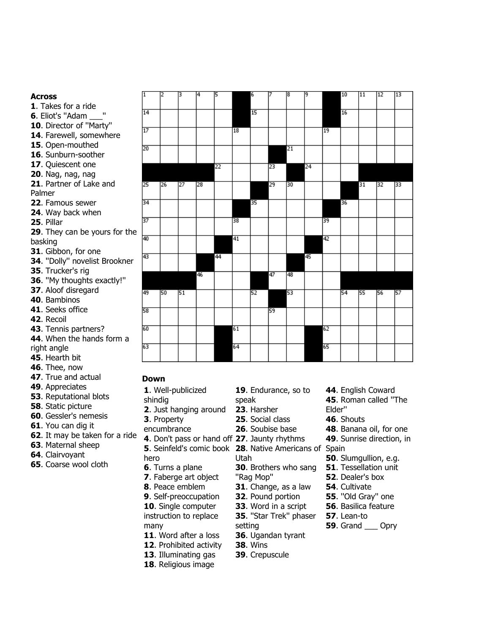#### **Across**

- 1. Takes for a ride
- **6.** Eliot's "Adam
- **10**. Director of ''Marty''
- 14. Farewell, somewhere
- **15**. Open-mouthed
- 16. Sunburn-soother
- **17.** Ouiescent one
- **20**. Nag, nag, nag
- **21**. Partner of Lake and Palmer
- **22**. Famous sewer
- **24**. Way back when
- **25**. Pillar
- **29.** They can be yours for the basking
- **31**. Gibbon, for one
- **34**. ''Dolly'' novelist Brookner
- **35**. Trucker's rig
- **36**. ''My thoughts exactly!''
- **37**. Aloof disregard
- **40**. Bambinos
- **41.** Seeks office
- **42**. Recoil
- **43**. Tennis partners?
- 44. When the hands form a right angle
- **45**. Hearth bit
- **46**. Thee, now
- **47**. True and actual
- **49**. Appreciates
- **53. Reputational blots**
- **58**. Static picture
- **60.** Gessler's nemesis
- **61**. You can dig it
- **62.** It may be taken for a ride
- **63**. Maternal sheep
- 64. Clairvoyant
- **65.** Coarse wool cloth

| ī       | 2  | Β  | 4  | 15 |    | 6               | 7  | 18 | 19 |    | 10 | 11 | 12 | 13 |
|---------|----|----|----|----|----|-----------------|----|----|----|----|----|----|----|----|
| 14      |    |    |    |    |    | $\overline{15}$ |    |    |    |    | 16 |    |    |    |
| 17      |    |    |    |    | 18 |                 |    |    |    | 19 |    |    |    |    |
| 20      |    |    |    |    |    |                 |    | 21 |    |    |    |    |    |    |
|         |    |    |    | 22 |    |                 | 23 |    | 24 |    |    |    |    |    |
| 25      | 26 | 27 | 28 |    |    |                 | 29 | 30 |    |    |    | 31 | 32 | 33 |
| 34      |    |    |    |    |    | 35              |    |    |    |    | 36 |    |    |    |
| 37      |    |    |    |    | 38 |                 |    |    |    | 39 |    |    |    |    |
| ì<br>40 |    |    |    |    | 41 |                 |    |    |    | 42 |    |    |    |    |
| 43      |    |    |    | 44 |    |                 |    |    | 45 |    |    |    |    |    |
|         |    |    | 46 |    |    |                 | 47 | 48 |    |    |    |    |    |    |
| 49      | 50 | 51 |    |    |    | 52              |    | 53 |    |    | 54 | 55 | 56 | 57 |
| 58      |    |    |    |    |    |                 | 59 |    |    |    |    |    |    |    |
| 60      |    |    |    |    | 61 |                 |    |    |    | 62 |    |    |    |    |
| 63      |    |    |    |    | 64 |                 |    |    |    | 65 |    |    |    |    |

#### **Down**

- 1. Well-publicized shindig • **2**. Just hanging around • **3**. Property encumbrance <sup>Je</sup> 4. Don't pass or hand off 27. Jaunty rhythms **5**. Seinfeld's comic book **28**. Native Americans of Spain hero • **6**. Turns a plane **7**. Faberge art object • **8**. Peace emblem **9.** Self-preoccupation **10.** Single computer instruction to replace many 19. Endurance, so to speak • **23**. Harsher • **25**. Social class • **26**. Soubise base Utah • **30**. Brothers who sang ''Rag Mop'' • **31**. Change, as a law • **32**. Pound portion • **33**. Word in a script • **35**. ''Star Trek'' phaser setting • **44**. English Coward • **45**. Roman called ''The Elder'' • **46**. Shouts • **48**. Banana oil, for one **49.** Sunrise direction, in • **50**. Slumgullion, e.g. **51.** Tessellation unit • **52**. Dealer's box **54.** Cultivate • **55**. ''Old Gray'' one **56.** Basilica feature • **57**. Lean-to • **59**. Grand \_\_\_ Opry
	- 11. Word after a loss 12. Prohibited activity
	- **13.** Illuminating gas
	- 18. Religious image
- **36**. Ugandan tyrant • **38**. Wins
- **39**. Crepuscule
-